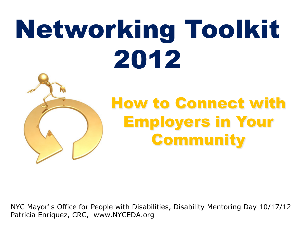# Networking Toolkit 2012



## How to Connect with Employers in Your **Community**

NYC Mayor's Office for People with Disabilities, Disability Mentoring Day 10/17/12 Patricia Enriquez, CRC, www.NYCEDA.org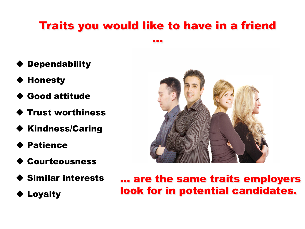### Traits you would like to have in a friend

…

- **Dependability**
- **Honesty**
- ! Good attitude
- ! Trust worthiness
- ◆ Kindness/Caring
- ! Patience
- **Courteousness**
- ! Similar interests
- ◆ Loyalty



… are the same traits employers look for in potential candidates.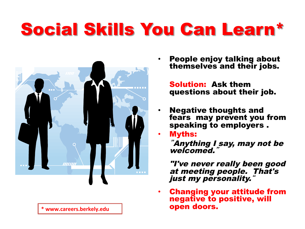# Social Skills You Can Learn\*



• People enjoy talking about themselves and their jobs.

> Solution: Ask them questions about their job.

- Negative thoughts and fears may prevent you from speaking to employers .
- Myths:

"Anything I say, may not be welcomed."

"I've never really been good at meeting people. That's just my personality.

• Changing your attitude from negative to positive, will \* www.careers.berkely.edu **Network and Septem doors.**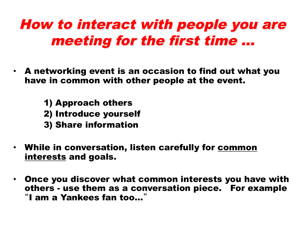## How to interact with people you are meeting for the first time …

- A networking event is an occasion to find out what you have in common with other people at the event.
	- 1) Approach others
	- 2) Introduce yourself
	- 3) Share information
- While in conversation, listen carefully for common interests and goals.
- Once you discover what common interests you have with others - use them as a conversation piece. For example "I am a Yankees fan too…"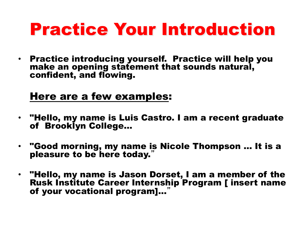# **Practice Your Introduction**

• Practice introducing yourself. Practice will help you make an opening statement that sounds natural, confident, and flowing.

#### Here are a few examples:

- "Hello, my name is Luis Castro. I am a recent graduate of Brooklyn College…
- "Good morning, my name is Nicole Thompson … It is a pleasure to be here today.
- "Hello, my name is Jason Dorset, I am a member of the Rusk Institute Career Internship Program [ insert name of your vocational program]...'